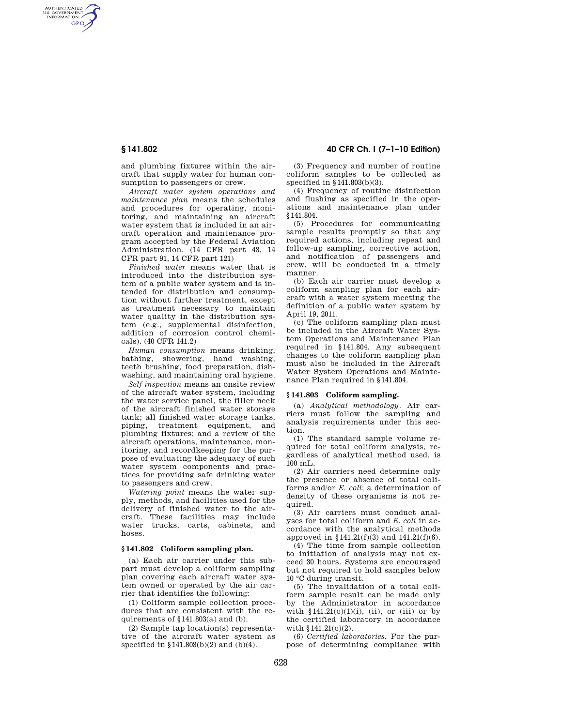AUTHENTICATED<br>U.S. GOVERNMENT<br>INFORMATION **GPO** 

> and plumbing fixtures within the aircraft that supply water for human consumption to passengers or crew.

> *Aircraft water system operations and maintenance plan* means the schedules and procedures for operating, monitoring, and maintaining an aircraft water system that is included in an aircraft operation and maintenance program accepted by the Federal Aviation Administration. (14 CFR part 43, 14 CFR part 91, 14 CFR part 121)

> *Finished water* means water that is introduced into the distribution system of a public water system and is intended for distribution and consumption without further treatment, except as treatment necessary to maintain water quality in the distribution system (e.g., supplemental disinfection, addition of corrosion control chemicals). (40 CFR 141.2)

> *Human consumption* means drinking, bathing, showering, hand washing, teeth brushing, food preparation, dishwashing, and maintaining oral hygiene.

> *Self inspection* means an onsite review of the aircraft water system, including the water service panel, the filler neck of the aircraft finished water storage tank; all finished water storage tanks, piping, treatment equipment, and plumbing fixtures; and a review of the aircraft operations, maintenance, monitoring, and recordkeeping for the purpose of evaluating the adequacy of such water system components and practices for providing safe drinking water to passengers and crew.

> *Watering point* means the water supply, methods, and facilities used for the delivery of finished water to the aircraft. These facilities may include water trucks, carts, cabinets, and hoses.

### **§ 141.802 Coliform sampling plan.**

(a) Each air carrier under this subpart must develop a coliform sampling plan covering each aircraft water system owned or operated by the air carrier that identifies the following:

(1) Coliform sample collection procedures that are consistent with the requirements of §141.803(a) and (b).

(2) Sample tap location(s) representative of the aircraft water system as specified in §141.803(b)(2) and (b)(4).

**§ 141.802 40 CFR Ch. I (7–1–10 Edition)** 

(3) Frequency and number of routine coliform samples to be collected as specified in §141.803(b)(3).

(4) Frequency of routine disinfection and flushing as specified in the operations and maintenance plan under §141.804.

(5) Procedures for communicating sample results promptly so that any required actions, including repeat and follow-up sampling, corrective action, and notification of passengers and crew, will be conducted in a timely manner.

(b) Each air carrier must develop a coliform sampling plan for each aircraft with a water system meeting the definition of a public water system by April 19, 2011.

(c) The coliform sampling plan must be included in the Aircraft Water System Operations and Maintenance Plan required in §141.804. Any subsequent changes to the coliform sampling plan must also be included in the Aircraft Water System Operations and Maintenance Plan required in §141.804.

## **§ 141.803 Coliform sampling.**

(a) *Analytical methodology.* Air carriers must follow the sampling and analysis requirements under this section.

(1) The standard sample volume required for total coliform analysis, regardless of analytical method used, is 100 mL.

(2) Air carriers need determine only the presence or absence of total coliforms and/or *E. coli*; a determination of density of these organisms is not required.

(3) Air carriers must conduct analyses for total coliform and *E. coli* in accordance with the analytical methods approved in §141.21(f)(3) and 141.21(f)(6).

(4) The time from sample collection to initiation of analysis may not exceed 30 hours. Systems are encouraged but not required to hold samples below 10 °C during transit.

(5) The invalidation of a total coliform sample result can be made only by the Administrator in accordance with  $$141.21(c)(1)(i)$ , (ii), or (iii) or by the certified laboratory in accordance with §141.21(c)(2).

(6) *Certified laboratories.* For the purpose of determining compliance with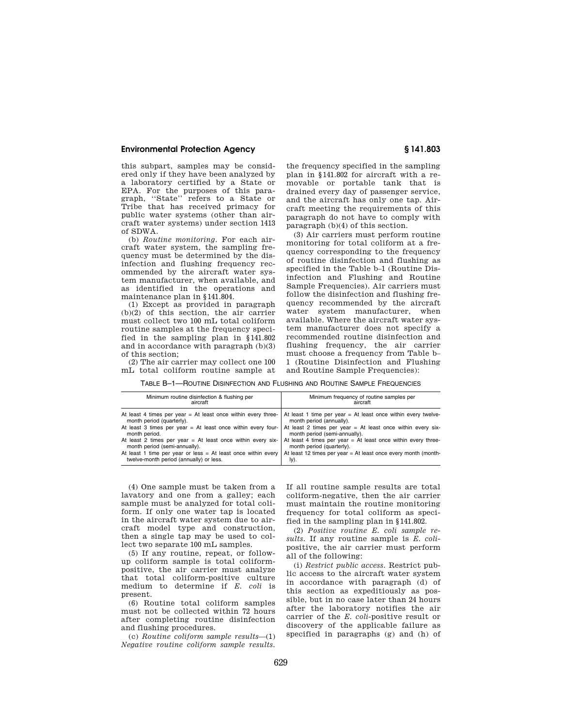## **Environmental Protection Agency § 141.803**

this subpart, samples may be considered only if they have been analyzed by a laboratory certified by a State or EPA. For the purposes of this paragraph, ''State'' refers to a State or Tribe that has received primacy for public water systems (other than aircraft water systems) under section 1413 of SDWA.

(b) *Routine monitoring.* For each aircraft water system, the sampling frequency must be determined by the disinfection and flushing frequency recommended by the aircraft water system manufacturer, when available, and as identified in the operations and maintenance plan in §141.804.

(1) Except as provided in paragraph (b)(2) of this section, the air carrier must collect two 100 mL total coliform routine samples at the frequency specified in the sampling plan in §141.802 and in accordance with paragraph (b)(3) of this section;

(2) The air carrier may collect one 100 mL total coliform routine sample at

the frequency specified in the sampling plan in §141.802 for aircraft with a removable or portable tank that is drained every day of passenger service, and the aircraft has only one tap. Aircraft meeting the requirements of this paragraph do not have to comply with paragraph (b)(4) of this section.

(3) Air carriers must perform routine monitoring for total coliform at a frequency corresponding to the frequency of routine disinfection and flushing as specified in the Table b–1 (Routine Disinfection and Flushing and Routine Sample Frequencies). Air carriers must follow the disinfection and flushing frequency recommended by the aircraft water system manufacturer, when available. Where the aircraft water system manufacturer does not specify a recommended routine disinfection and flushing frequency, the air carrier must choose a frequency from Table b– 1 (Routine Disinfection and Flushing and Routine Sample Frequencies):

TABLE B–1—ROUTINE DISINFECTION AND FLUSHING AND ROUTINE SAMPLE FREQUENCIES

| Minimum routine disinfection & flushing per                     | Minimum frequency of routine samples per                        |
|-----------------------------------------------------------------|-----------------------------------------------------------------|
| aircraft                                                        | aircraft                                                        |
| At least 4 times per year = At least once within every three-   | At least 1 time per year $=$ At least once within every twelve- |
| month period (quarterly).                                       | month period (annually).                                        |
| At least 3 times per year = At least once within every four-    | At least 2 times per year $=$ At least once within every six-   |
| month period.                                                   | month period (semi-annually).                                   |
| At least 2 times per year = At least once within every six-     | At least 4 times per year = At least once within every three-   |
| month period (semi-annually).                                   | month period (quarterly).                                       |
| At least 1 time per year or less $=$ At least once within every | At least 12 times per year = At least once every month (month-  |
| twelve-month period (annually) or less.                         | ly).                                                            |

(4) One sample must be taken from a lavatory and one from a galley; each sample must be analyzed for total coliform. If only one water tap is located in the aircraft water system due to aircraft model type and construction, then a single tap may be used to collect two separate 100 mL samples.

(5) If any routine, repeat, or followup coliform sample is total coliformpositive, the air carrier must analyze that total coliform-positive culture medium to determine if *E. coli* is present.

(6) Routine total coliform samples must not be collected within 72 hours after completing routine disinfection and flushing procedures.

(c) *Routine coliform sample results*—(1) *Negative routine coliform sample results.*  If all routine sample results are total coliform-negative, then the air carrier must maintain the routine monitoring frequency for total coliform as specified in the sampling plan in §141.802.

(2) *Positive routine E. coli sample results.* If any routine sample is *E. coli*positive, the air carrier must perform all of the following:

(i) *Restrict public access.* Restrict public access to the aircraft water system in accordance with paragraph (d) of this section as expeditiously as possible, but in no case later than 24 hours after the laboratory notifies the air carrier of the *E. coli*-positive result or discovery of the applicable failure as specified in paragraphs (g) and (h) of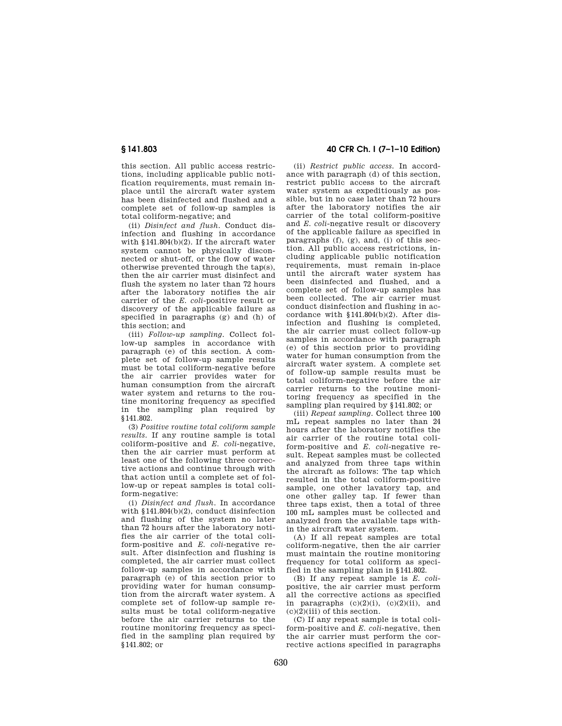this section. All public access restrictions, including applicable public notification requirements, must remain inplace until the aircraft water system has been disinfected and flushed and a complete set of follow-up samples is total coliform-negative; and

(ii) *Disinfect and flush.* Conduct disinfection and flushing in accordance with §141.804(b)(2). If the aircraft water system cannot be physically disconnected or shut-off, or the flow of water otherwise prevented through the tap(s), then the air carrier must disinfect and flush the system no later than 72 hours after the laboratory notifies the air carrier of the *E. coli*-positive result or discovery of the applicable failure as specified in paragraphs (g) and (h) of this section; and

(iii) *Follow-up sampling.* Collect follow-up samples in accordance with paragraph (e) of this section. A complete set of follow-up sample results must be total coliform-negative before the air carrier provides water for human consumption from the aircraft water system and returns to the routine monitoring frequency as specified in the sampling plan required by §141.802.

(3) *Positive routine total coliform sample results.* If any routine sample is total coliform-positive and *E. coli*-negative, then the air carrier must perform at least one of the following three corrective actions and continue through with that action until a complete set of follow-up or repeat samples is total coliform-negative:

(i) *Disinfect and flush.* In accordance with §141.804(b)(2), conduct disinfection and flushing of the system no later than 72 hours after the laboratory notifies the air carrier of the total coliform-positive and *E. coli*-negative result. After disinfection and flushing is completed, the air carrier must collect follow-up samples in accordance with paragraph (e) of this section prior to providing water for human consumption from the aircraft water system. A complete set of follow-up sample results must be total coliform-negative before the air carrier returns to the routine monitoring frequency as specified in the sampling plan required by §141.802; or

# **§ 141.803 40 CFR Ch. I (7–1–10 Edition)**

(ii) *Restrict public access.* In accordance with paragraph (d) of this section, restrict public access to the aircraft water system as expeditiously as possible, but in no case later than 72 hours after the laboratory notifies the air carrier of the total coliform-positive and *E. coli*-negative result or discovery of the applicable failure as specified in paragraphs (f), (g), and, (i) of this section. All public access restrictions, including applicable public notification requirements, must remain in-place until the aircraft water system has been disinfected and flushed, and a complete set of follow-up samples has been collected. The air carrier must conduct disinfection and flushing in accordance with §141.804(b)(2). After disinfection and flushing is completed, the air carrier must collect follow-up samples in accordance with paragraph (e) of this section prior to providing water for human consumption from the aircraft water system. A complete set of follow-up sample results must be total coliform-negative before the air carrier returns to the routine monitoring frequency as specified in the sampling plan required by §141.802; or

(iii) *Repeat sampling.* Collect three 100 mL repeat samples no later than 24 hours after the laboratory notifies the air carrier of the routine total coliform-positive and *E. coli*-negative result. Repeat samples must be collected and analyzed from three taps within the aircraft as follows: The tap which resulted in the total coliform-positive sample, one other lavatory tap, and one other galley tap. If fewer than three taps exist, then a total of three 100 mL samples must be collected and analyzed from the available taps within the aircraft water system.

(A) If all repeat samples are total coliform-negative, then the air carrier must maintain the routine monitoring frequency for total coliform as specified in the sampling plan in §141.802.

(B) If any repeat sample is *E. coli*positive, the air carrier must perform all the corrective actions as specified in paragraphs  $(c)(2)(i)$ ,  $(c)(2)(ii)$ , and  $(c)(2)(iii)$  of this section.

(C) If any repeat sample is total coliform-positive and *E. coli*-negative, then the air carrier must perform the corrective actions specified in paragraphs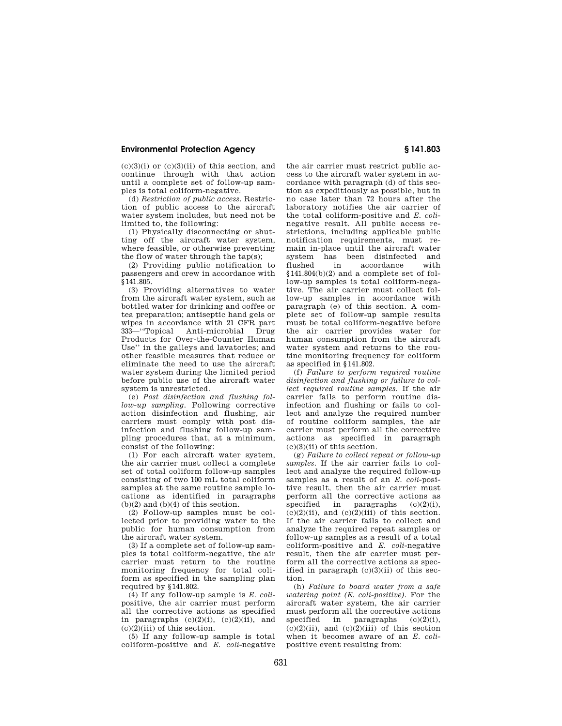# **Environmental Protection Agency § 141.803**

 $(c)(3)(i)$  or  $(c)(3)(ii)$  of this section, and continue through with that action until a complete set of follow-up samples is total coliform-negative.

(d) *Restriction of public access.* Restriction of public access to the aircraft water system includes, but need not be limited to, the following:

(1) Physically disconnecting or shutting off the aircraft water system, where feasible, or otherwise preventing the flow of water through the tap(s);

(2) Providing public notification to passengers and crew in accordance with  $\overline{\$}$  141.805.

(3) Providing alternatives to water from the aircraft water system, such as bottled water for drinking and coffee or tea preparation; antiseptic hand gels or wipes in accordance with 21 CFR part<br>333—"Topical Anti-microbial Drug Anti-microbial Products for Over-the-Counter Human Use'' in the galleys and lavatories; and other feasible measures that reduce or eliminate the need to use the aircraft water system during the limited period before public use of the aircraft water system is unrestricted.

(e) *Post disinfection and flushing follow-up sampling.* Following corrective action disinfection and flushing, air carriers must comply with post disinfection and flushing follow-up sampling procedures that, at a minimum, consist of the following:

(1) For each aircraft water system, the air carrier must collect a complete set of total coliform follow-up samples consisting of two 100 mL total coliform samples at the same routine sample locations as identified in paragraphs  $(b)(2)$  and  $(b)(4)$  of this section.

(2) Follow-up samples must be collected prior to providing water to the public for human consumption from the aircraft water system.

(3) If a complete set of follow-up samples is total coliform-negative, the air carrier must return to the routine monitoring frequency for total coliform as specified in the sampling plan required by §141.802.

(4) If any follow-up sample is *E. coli*positive, the air carrier must perform all the corrective actions as specified in paragraphs  $(c)(2)(i)$ ,  $(c)(2)(ii)$ , and  $(c)(2)(iii)$  of this section.

(5) If any follow-up sample is total coliform-positive and *E. coli*-negative the air carrier must restrict public access to the aircraft water system in accordance with paragraph (d) of this section as expeditiously as possible, but in no case later than 72 hours after the laboratory notifies the air carrier of the total coliform-positive and *E. coli*negative result. All public access restrictions, including applicable public notification requirements, must remain in-place until the aircraft water<br>system has been disinfected and system has been flushed in accordance with  $§141.804(b)(2)$  and a complete set of follow-up samples is total coliform-negative. The air carrier must collect follow-up samples in accordance with paragraph (e) of this section. A complete set of follow-up sample results must be total coliform-negative before the air carrier provides water for human consumption from the aircraft water system and returns to the routine monitoring frequency for coliform as specified in §141.802.

(f) *Failure to perform required routine disinfection and flushing or failure to collect required routine samples.* If the air carrier fails to perform routine disinfection and flushing or fails to collect and analyze the required number of routine coliform samples, the air carrier must perform all the corrective actions as specified in paragraph (c)(3)(ii) of this section.

(g) *Failure to collect repeat or follow-up samples.* If the air carrier fails to collect and analyze the required follow-up samples as a result of an *E. coli*-positive result, then the air carrier must perform all the corrective actions as specified in paragraphs  $(c)(2)(i)$ ,  $(c)(2)(ii)$ , and  $(c)(2)(iii)$  of this section. If the air carrier fails to collect and analyze the required repeat samples or follow-up samples as a result of a total coliform-positive and *E. coli*-negative result, then the air carrier must perform all the corrective actions as specified in paragraph  $(c)(3)(ii)$  of this section.

(h) *Failure to board water from a safe watering point (E. coli-positive).* For the aircraft water system, the air carrier must perform all the corrective actions specified in paragraphs  $(c)(2)(i)$ ,  $(c)(2)(ii)$ , and  $(c)(2)(iii)$  of this section when it becomes aware of an *E. coli*positive event resulting from: